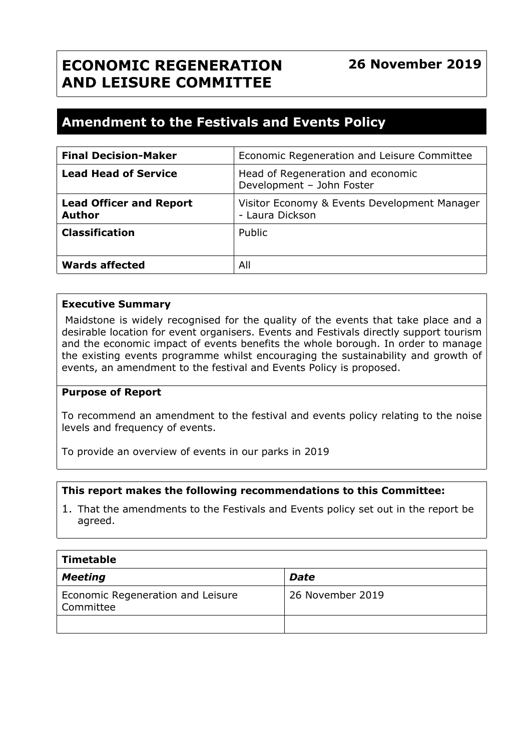# **ECONOMIC REGENERATION AND LEISURE COMMITTEE**

# **26 November 2019**

# **Amendment to the Festivals and Events Policy**

| <b>Final Decision-Maker</b>                     | Economic Regeneration and Leisure Committee                     |
|-------------------------------------------------|-----------------------------------------------------------------|
| <b>Lead Head of Service</b>                     | Head of Regeneration and economic<br>Development - John Foster  |
| <b>Lead Officer and Report</b><br><b>Author</b> | Visitor Economy & Events Development Manager<br>- Laura Dickson |
| <b>Classification</b>                           | Public                                                          |
| <b>Wards affected</b>                           | All                                                             |

#### **Executive Summary**

Maidstone is widely recognised for the quality of the events that take place and a desirable location for event organisers. Events and Festivals directly support tourism and the economic impact of events benefits the whole borough. In order to manage the existing events programme whilst encouraging the sustainability and growth of events, an amendment to the festival and Events Policy is proposed.

#### **Purpose of Report**

To recommend an amendment to the festival and events policy relating to the noise levels and frequency of events.

To provide an overview of events in our parks in 2019

#### **This report makes the following recommendations to this Committee:**

1. That the amendments to the Festivals and Events policy set out in the report be agreed.

| Timetable                                      |                  |  |
|------------------------------------------------|------------------|--|
| <b>Meeting</b>                                 | <b>Date</b>      |  |
| Economic Regeneration and Leisure<br>Committee | 26 November 2019 |  |
|                                                |                  |  |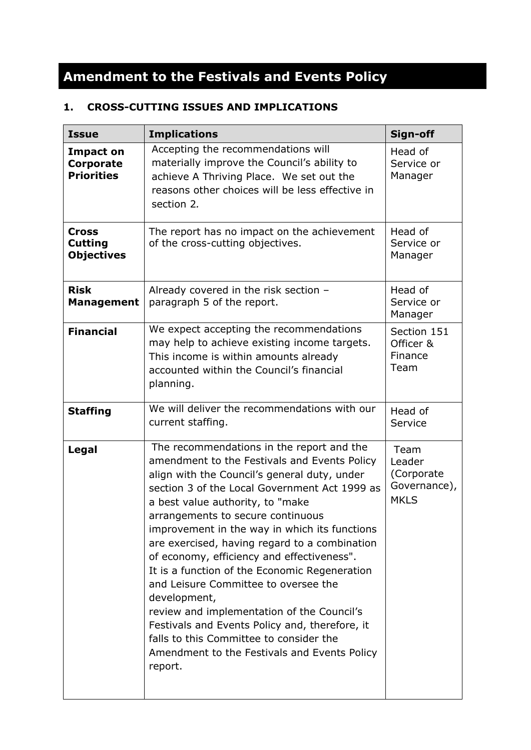# **Amendment to the Festivals and Events Policy**

# **1. CROSS-CUTTING ISSUES AND IMPLICATIONS**

| <b>Issue</b>                                              | <b>Implications</b>                                                                                                                                                                                                                                                                                                                                                                                                                                                                                                                                                                                                                                                                                                                | Sign-off                                                     |
|-----------------------------------------------------------|------------------------------------------------------------------------------------------------------------------------------------------------------------------------------------------------------------------------------------------------------------------------------------------------------------------------------------------------------------------------------------------------------------------------------------------------------------------------------------------------------------------------------------------------------------------------------------------------------------------------------------------------------------------------------------------------------------------------------------|--------------------------------------------------------------|
| <b>Impact on</b><br><b>Corporate</b><br><b>Priorities</b> | Accepting the recommendations will<br>materially improve the Council's ability to<br>achieve A Thriving Place. We set out the<br>reasons other choices will be less effective in<br>section 2.                                                                                                                                                                                                                                                                                                                                                                                                                                                                                                                                     | Head of<br>Service or<br>Manager                             |
| <b>Cross</b><br><b>Cutting</b><br><b>Objectives</b>       | The report has no impact on the achievement<br>of the cross-cutting objectives.                                                                                                                                                                                                                                                                                                                                                                                                                                                                                                                                                                                                                                                    | Head of<br>Service or<br>Manager                             |
| <b>Risk</b><br><b>Management</b>                          | Already covered in the risk section -<br>paragraph 5 of the report.                                                                                                                                                                                                                                                                                                                                                                                                                                                                                                                                                                                                                                                                | Head of<br>Service or<br>Manager                             |
| <b>Financial</b>                                          | We expect accepting the recommendations<br>may help to achieve existing income targets.<br>This income is within amounts already<br>accounted within the Council's financial<br>planning.                                                                                                                                                                                                                                                                                                                                                                                                                                                                                                                                          | Section 151<br>Officer &<br>Finance<br>Team                  |
| <b>Staffing</b>                                           | We will deliver the recommendations with our<br>current staffing.                                                                                                                                                                                                                                                                                                                                                                                                                                                                                                                                                                                                                                                                  | Head of<br>Service                                           |
| Legal                                                     | The recommendations in the report and the<br>amendment to the Festivals and Events Policy<br>align with the Council's general duty, under<br>section 3 of the Local Government Act 1999 as<br>a best value authority, to "make<br>arrangements to secure continuous<br>improvement in the way in which its functions<br>are exercised, having regard to a combination<br>of economy, efficiency and effectiveness".<br>It is a function of the Economic Regeneration<br>and Leisure Committee to oversee the<br>development,<br>review and implementation of the Council's<br>Festivals and Events Policy and, therefore, it<br>falls to this Committee to consider the<br>Amendment to the Festivals and Events Policy<br>report. | Team<br>Leader<br>(Corporate)<br>Governance),<br><b>MKLS</b> |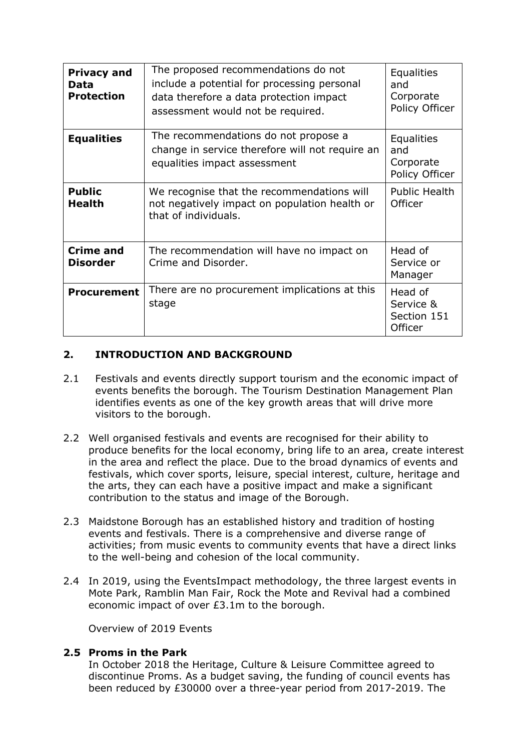| <b>Privacy and</b><br>Data<br><b>Protection</b> | The proposed recommendations do not<br>include a potential for processing personal<br>data therefore a data protection impact<br>assessment would not be required. | <b>Equalities</b><br>and<br>Corporate<br>Policy Officer |
|-------------------------------------------------|--------------------------------------------------------------------------------------------------------------------------------------------------------------------|---------------------------------------------------------|
| <b>Equalities</b>                               | The recommendations do not propose a<br>change in service therefore will not require an<br>equalities impact assessment                                            | <b>Equalities</b><br>and<br>Corporate<br>Policy Officer |
| <b>Public</b><br><b>Health</b>                  | We recognise that the recommendations will<br>not negatively impact on population health or<br>that of individuals.                                                | <b>Public Health</b><br>Officer                         |
| <b>Crime and</b><br><b>Disorder</b>             | The recommendation will have no impact on<br>Crime and Disorder.                                                                                                   | Head of<br>Service or<br>Manager                        |
| <b>Procurement</b>                              | There are no procurement implications at this<br>stage                                                                                                             | Head of<br>Service &<br>Section 151<br>Officer          |

# **2. INTRODUCTION AND BACKGROUND**

- 2.1 Festivals and events directly support tourism and the economic impact of events benefits the borough. The Tourism Destination Management Plan identifies events as one of the key growth areas that will drive more visitors to the borough.
- 2.2 Well organised festivals and events are recognised for their ability to produce benefits for the local economy, bring life to an area, create interest in the area and reflect the place. Due to the broad dynamics of events and festivals, which cover sports, leisure, special interest, culture, heritage and the arts, they can each have a positive impact and make a significant contribution to the status and image of the Borough.
- 2.3 Maidstone Borough has an established history and tradition of hosting events and festivals. There is a comprehensive and diverse range of activities; from music events to community events that have a direct links to the well-being and cohesion of the local community.
- 2.4 In 2019, using the EventsImpact methodology, the three largest events in Mote Park, Ramblin Man Fair, Rock the Mote and Revival had a combined economic impact of over £3.1m to the borough.

Overview of 2019 Events

## **2.5 Proms in the Park**

In October 2018 the Heritage, Culture & Leisure Committee agreed to discontinue Proms. As a budget saving, the funding of council events has been reduced by £30000 over a three-year period from 2017-2019. The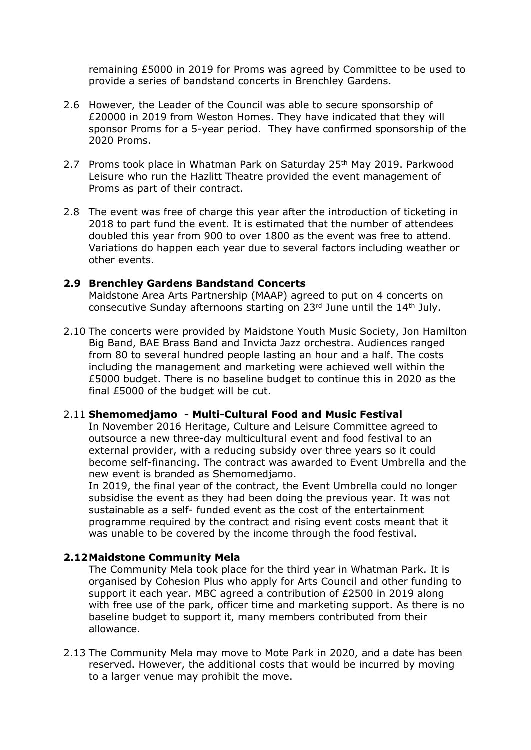remaining £5000 in 2019 for Proms was agreed by Committee to be used to provide a series of bandstand concerts in Brenchley Gardens.

- 2.6 However, the Leader of the Council was able to secure sponsorship of £20000 in 2019 from Weston Homes. They have indicated that they will sponsor Proms for a 5-year period. They have confirmed sponsorship of the 2020 Proms.
- 2.7 Proms took place in Whatman Park on Saturday 25th May 2019. Parkwood Leisure who run the Hazlitt Theatre provided the event management of Proms as part of their contract.
- 2.8 The event was free of charge this year after the introduction of ticketing in 2018 to part fund the event. It is estimated that the number of attendees doubled this year from 900 to over 1800 as the event was free to attend. Variations do happen each year due to several factors including weather or other events.

#### **2.9 Brenchley Gardens Bandstand Concerts**

Maidstone Area Arts Partnership (MAAP) agreed to put on 4 concerts on consecutive Sunday afternoons starting on 23rd June until the 14th July.

2.10 The concerts were provided by Maidstone Youth Music Society, Jon Hamilton Big Band, BAE Brass Band and Invicta Jazz orchestra. Audiences ranged from 80 to several hundred people lasting an hour and a half. The costs including the management and marketing were achieved well within the £5000 budget. There is no baseline budget to continue this in 2020 as the final £5000 of the budget will be cut.

#### 2.11 **Shemomedjamo - Multi-Cultural Food and Music Festival**

In November 2016 Heritage, Culture and Leisure Committee agreed to outsource a new three-day multicultural event and food festival to an external provider, with a reducing subsidy over three years so it could become self-financing. The contract was awarded to Event Umbrella and the new event is branded as Shemomedjamo.

In 2019, the final year of the contract, the Event Umbrella could no longer subsidise the event as they had been doing the previous year. It was not sustainable as a self- funded event as the cost of the entertainment programme required by the contract and rising event costs meant that it was unable to be covered by the income through the food festival.

#### **2.12Maidstone Community Mela**

The Community Mela took place for the third year in Whatman Park. It is organised by Cohesion Plus who apply for Arts Council and other funding to support it each year. MBC agreed a contribution of £2500 in 2019 along with free use of the park, officer time and marketing support. As there is no baseline budget to support it, many members contributed from their allowance.

2.13 The Community Mela may move to Mote Park in 2020, and a date has been reserved. However, the additional costs that would be incurred by moving to a larger venue may prohibit the move.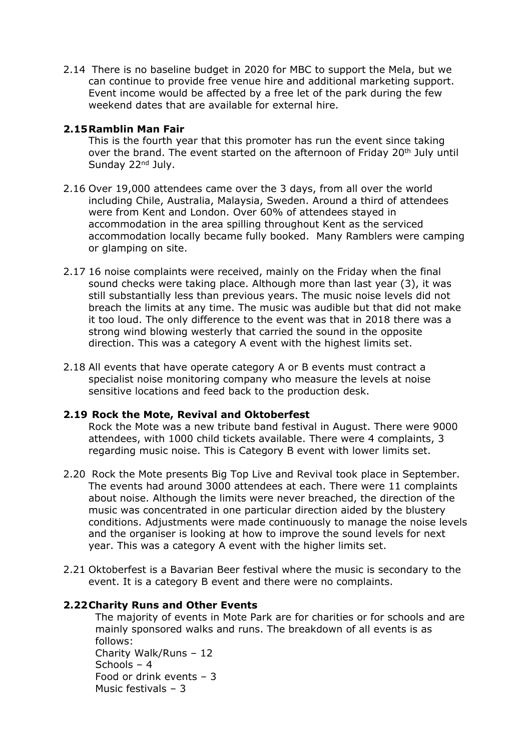2.14 There is no baseline budget in 2020 for MBC to support the Mela, but we can continue to provide free venue hire and additional marketing support. Event income would be affected by a free let of the park during the few weekend dates that are available for external hire.

## **2.15Ramblin Man Fair**

This is the fourth year that this promoter has run the event since taking over the brand. The event started on the afternoon of Friday 20<sup>th</sup> July until Sunday 22<sup>nd</sup> July.

- 2.16 Over 19,000 attendees came over the 3 days, from all over the world including Chile, Australia, Malaysia, Sweden. Around a third of attendees were from Kent and London. Over 60% of attendees stayed in accommodation in the area spilling throughout Kent as the serviced accommodation locally became fully booked. Many Ramblers were camping or glamping on site.
- 2.17 16 noise complaints were received, mainly on the Friday when the final sound checks were taking place. Although more than last year (3), it was still substantially less than previous years. The music noise levels did not breach the limits at any time. The music was audible but that did not make it too loud. The only difference to the event was that in 2018 there was a strong wind blowing westerly that carried the sound in the opposite direction. This was a category A event with the highest limits set.
- 2.18 All events that have operate category A or B events must contract a specialist noise monitoring company who measure the levels at noise sensitive locations and feed back to the production desk.

#### **2.19 Rock the Mote, Revival and Oktoberfest**

Rock the Mote was a new tribute band festival in August. There were 9000 attendees, with 1000 child tickets available. There were 4 complaints, 3 regarding music noise. This is Category B event with lower limits set.

- 2.20 Rock the Mote presents Big Top Live and Revival took place in September. The events had around 3000 attendees at each. There were 11 complaints about noise. Although the limits were never breached, the direction of the music was concentrated in one particular direction aided by the blustery conditions. Adjustments were made continuously to manage the noise levels and the organiser is looking at how to improve the sound levels for next year. This was a category A event with the higher limits set.
- 2.21 Oktoberfest is a Bavarian Beer festival where the music is secondary to the event. It is a category B event and there were no complaints.

## **2.22Charity Runs and Other Events**

The majority of events in Mote Park are for charities or for schools and are mainly sponsored walks and runs. The breakdown of all events is as follows: Charity Walk/Runs – 12 Schools – 4 Food or drink events – 3 Music festivals – 3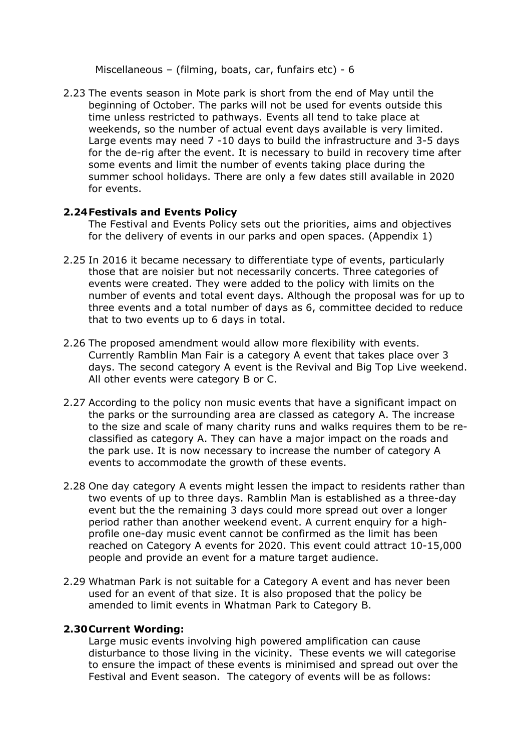Miscellaneous – (filming, boats, car, funfairs etc) - 6

2.23 The events season in Mote park is short from the end of May until the beginning of October. The parks will not be used for events outside this time unless restricted to pathways. Events all tend to take place at weekends, so the number of actual event days available is very limited. Large events may need 7 -10 days to build the infrastructure and 3-5 days for the de-rig after the event. It is necessary to build in recovery time after some events and limit the number of events taking place during the summer school holidays. There are only a few dates still available in 2020 for events.

#### **2.24Festivals and Events Policy**

The Festival and Events Policy sets out the priorities, aims and objectives for the delivery of events in our parks and open spaces. (Appendix 1)

- 2.25 In 2016 it became necessary to differentiate type of events, particularly those that are noisier but not necessarily concerts. Three categories of events were created. They were added to the policy with limits on the number of events and total event days. Although the proposal was for up to three events and a total number of days as 6, committee decided to reduce that to two events up to 6 days in total.
- 2.26 The proposed amendment would allow more flexibility with events. Currently Ramblin Man Fair is a category A event that takes place over 3 days. The second category A event is the Revival and Big Top Live weekend. All other events were category B or C.
- 2.27 According to the policy non music events that have a significant impact on the parks or the surrounding area are classed as category A. The increase to the size and scale of many charity runs and walks requires them to be reclassified as category A. They can have a major impact on the roads and the park use. It is now necessary to increase the number of category A events to accommodate the growth of these events.
- 2.28 One day category A events might lessen the impact to residents rather than two events of up to three days. Ramblin Man is established as a three-day event but the the remaining 3 days could more spread out over a longer period rather than another weekend event. A current enquiry for a highprofile one-day music event cannot be confirmed as the limit has been reached on Category A events for 2020. This event could attract 10-15,000 people and provide an event for a mature target audience.
- 2.29 Whatman Park is not suitable for a Category A event and has never been used for an event of that size. It is also proposed that the policy be amended to limit events in Whatman Park to Category B.

#### **2.30Current Wording:**

Large music events involving high powered amplification can cause disturbance to those living in the vicinity. These events we will categorise to ensure the impact of these events is minimised and spread out over the Festival and Event season. The category of events will be as follows: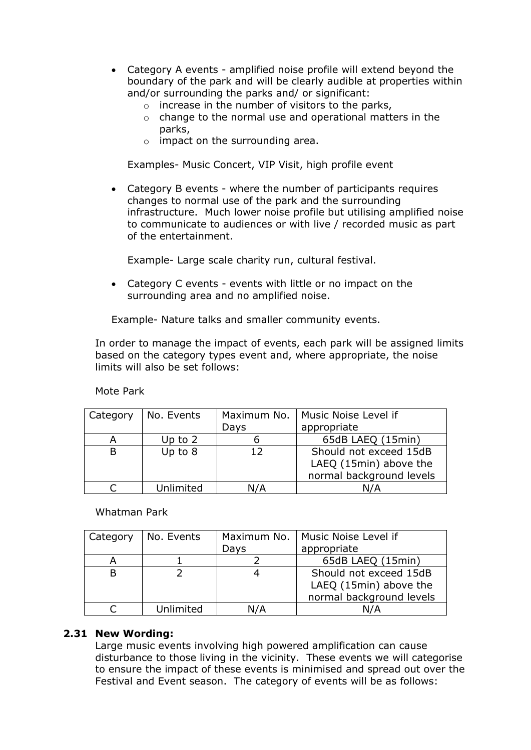- Category A events amplified noise profile will extend beyond the boundary of the park and will be clearly audible at properties within and/or surrounding the parks and/ or significant:
	- $\circ$  increase in the number of visitors to the parks,
	- $\circ$  change to the normal use and operational matters in the parks,
	- o impact on the surrounding area.

Examples- Music Concert, VIP Visit, high profile event

 Category B events - where the number of participants requires changes to normal use of the park and the surrounding infrastructure. Much lower noise profile but utilising amplified noise to communicate to audiences or with live / recorded music as part of the entertainment.

Example- Large scale charity run, cultural festival.

 Category C events - events with little or no impact on the surrounding area and no amplified noise.

Example- Nature talks and smaller community events.

In order to manage the impact of events, each park will be assigned limits based on the category types event and, where appropriate, the noise limits will also be set follows:

Mote Park

| Category | No. Events | Maximum No. | Music Noise Level if     |
|----------|------------|-------------|--------------------------|
|          |            | Days        | appropriate              |
| А        | Up to $2$  |             | 65dB LAEQ (15min)        |
| В        | Up to 8    | 12          | Should not exceed 15dB   |
|          |            |             | LAEQ (15min) above the   |
|          |            |             | normal background levels |
|          | Unlimited  | N/A         | N/A                      |

Whatman Park

| Category | No. Events | Maximum No. | Music Noise Level if     |
|----------|------------|-------------|--------------------------|
|          |            | Days        | appropriate              |
| А        |            |             | 65dB LAEQ (15min)        |
| B        |            |             | Should not exceed 15dB   |
|          |            |             | LAEQ (15min) above the   |
|          |            |             | normal background levels |
|          | Unlimited  | N/A         | N/A                      |

#### **2.31 New Wording:**

Large music events involving high powered amplification can cause disturbance to those living in the vicinity. These events we will categorise to ensure the impact of these events is minimised and spread out over the Festival and Event season. The category of events will be as follows: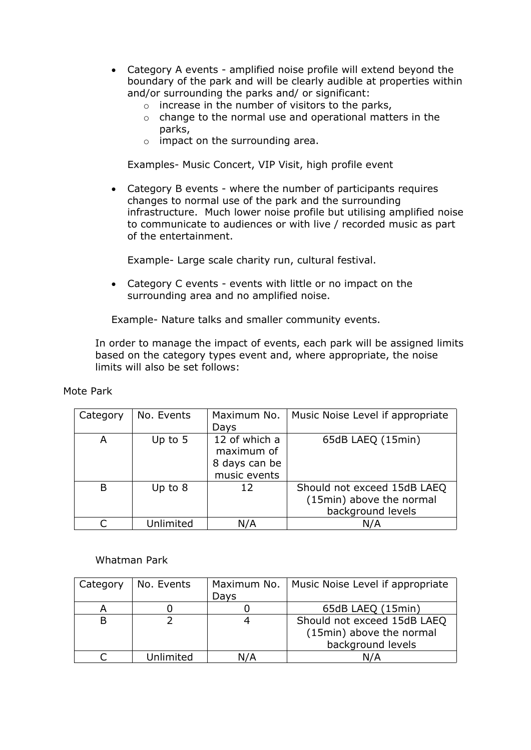- Category A events amplified noise profile will extend beyond the boundary of the park and will be clearly audible at properties within and/or surrounding the parks and/ or significant:
	- $\circ$  increase in the number of visitors to the parks,
	- $\circ$  change to the normal use and operational matters in the parks,
	- o impact on the surrounding area.

Examples- Music Concert, VIP Visit, high profile event

 Category B events - where the number of participants requires changes to normal use of the park and the surrounding infrastructure. Much lower noise profile but utilising amplified noise to communicate to audiences or with live / recorded music as part of the entertainment.

Example- Large scale charity run, cultural festival.

 Category C events - events with little or no impact on the surrounding area and no amplified noise.

Example- Nature talks and smaller community events.

In order to manage the impact of events, each park will be assigned limits based on the category types event and, where appropriate, the noise limits will also be set follows:

| Category | No. Events | Maximum No.<br>Days                                          | Music Noise Level if appropriate                                             |
|----------|------------|--------------------------------------------------------------|------------------------------------------------------------------------------|
| А        | Up to $5$  | 12 of which a<br>maximum of<br>8 days can be<br>music events | 65dB LAEQ (15min)                                                            |
| B        | Up to $8$  | 12                                                           | Should not exceed 15dB LAEQ<br>(15min) above the normal<br>background levels |
|          | Unlimited  | N/A                                                          | N/A                                                                          |

Mote Park

#### Whatman Park

| Category | No. Events | Maximum No. | Music Noise Level if appropriate |
|----------|------------|-------------|----------------------------------|
|          |            | Days        |                                  |
|          |            |             | 65dB LAEQ (15min)                |
|          |            |             | Should not exceed 15dB LAEQ      |
|          |            |             | (15min) above the normal         |
|          |            |             | background levels                |
|          | Unlimited  |             |                                  |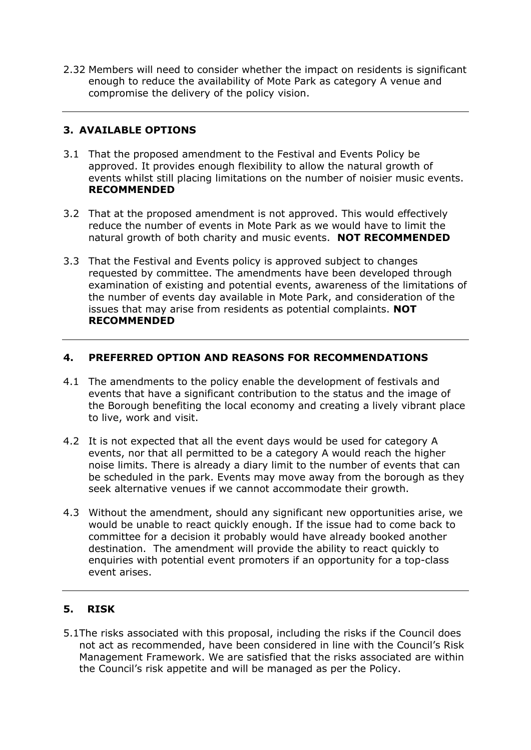2.32 Members will need to consider whether the impact on residents is significant enough to reduce the availability of Mote Park as category A venue and compromise the delivery of the policy vision.

# **3. AVAILABLE OPTIONS**

- 3.1 That the proposed amendment to the Festival and Events Policy be approved. It provides enough flexibility to allow the natural growth of events whilst still placing limitations on the number of noisier music events. **RECOMMENDED**
- 3.2 That at the proposed amendment is not approved. This would effectively reduce the number of events in Mote Park as we would have to limit the natural growth of both charity and music events. **NOT RECOMMENDED**
- 3.3 That the Festival and Events policy is approved subject to changes requested by committee. The amendments have been developed through examination of existing and potential events, awareness of the limitations of the number of events day available in Mote Park, and consideration of the issues that may arise from residents as potential complaints. **NOT RECOMMENDED**

# **4. PREFERRED OPTION AND REASONS FOR RECOMMENDATIONS**

- 4.1 The amendments to the policy enable the development of festivals and events that have a significant contribution to the status and the image of the Borough benefiting the local economy and creating a lively vibrant place to live, work and visit.
- 4.2 It is not expected that all the event days would be used for category A events, nor that all permitted to be a category A would reach the higher noise limits. There is already a diary limit to the number of events that can be scheduled in the park. Events may move away from the borough as they seek alternative venues if we cannot accommodate their growth.
- 4.3 Without the amendment, should any significant new opportunities arise, we would be unable to react quickly enough. If the issue had to come back to committee for a decision it probably would have already booked another destination. The amendment will provide the ability to react quickly to enquiries with potential event promoters if an opportunity for a top-class event arises.

# **5. RISK**

5.1The risks associated with this proposal, including the risks if the Council does not act as recommended, have been considered in line with the Council's Risk Management Framework. We are satisfied that the risks associated are within the Council's risk appetite and will be managed as per the Policy.